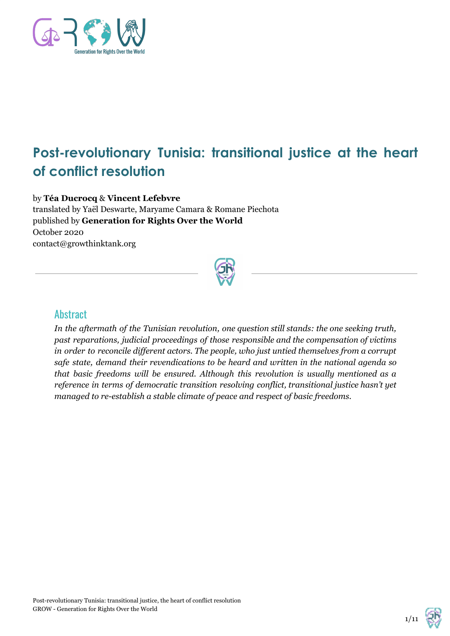

# **Post-revolutionary Tunisia: transitional justice at the heart of conflict resolution**

by **Téa Ducrocq** & **Vincent Lefebvre** translated by Yaël Deswarte, Maryame Camara & Romane Piechota published by **Generation for Rights Over the World** October 2020 contact@growthinktank.org



## **Abstract**

*In the aftermath of the Tunisian revolution, one question still stands: the one seeking truth, past reparations, judicial proceedings of those responsible and the compensation of victims in order to reconcile dif erent actors. The people, who just untied themselves from a corrupt safe state, demand their revendications to be heard and written in the national agenda so that basic freedoms will be ensured. Although this revolution is usually mentioned as a reference in terms of democratic transition resolving conflict, transitional justice hasn't yet managed to re-establish a stable climate of peace and respect of basic freedoms.*

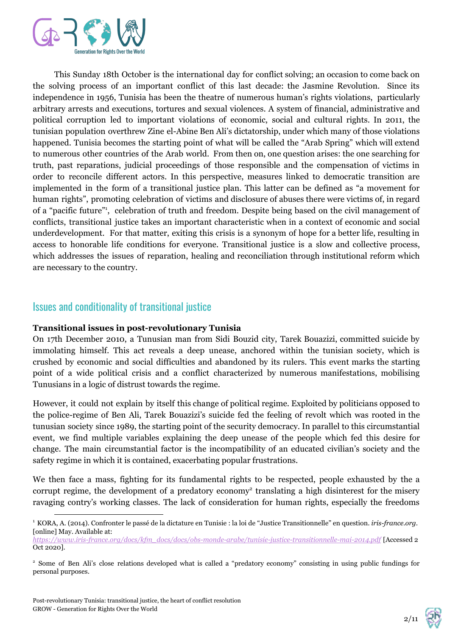

This Sunday 18th October is the international day for conflict solving; an occasion to come back on the solving process of an important conflict of this last decade: the Jasmine Revolution. Since its independence in 1956, Tunisia has been the theatre of numerous human's rights violations, particularly arbitrary arrests and executions, tortures and sexual violences. A system of financial, administrative and political corruption led to important violations of economic, social and cultural rights. In 2011, the tunisian population overthrew Zine el-Abine Ben Ali's dictatorship, under which many of those violations happened. Tunisia becomes the starting point of what will be called the "Arab Spring" which will extend to numerous other countries of the Arab world. From then on, one question arises: the one searching for truth, past reparations, judicial proceedings of those responsible and the compensation of victims in order to reconcile different actors. In this perspective, measures linked to democratic transition are implemented in the form of a transitional justice plan. This latter can be defined as "a movement for human rights", promoting celebration of victims and disclosure of abuses there were victims of, in regard of a "pacific future"<sup>1</sup>, celebration of truth and freedom. Despite being based on the civil management of conflicts, transitional justice takes an important characteristic when in a context of economic and social underdevelopment. For that matter, exiting this crisis is a synonym of hope for a better life, resulting in access to honorable life conditions for everyone. Transitional justice is a slow and collective process, which addresses the issues of reparation, healing and reconciliation through institutional reform which are necessary to the country.

## Issues and conditionality of transitional justice

#### **Transitional issues in post-revolutionary Tunisia**

On 17th December 2010, a Tunusian man from Sidi Bouzid city, Tarek Bouazizi, committed suicide by immolating himself. This act reveals a deep unease, anchored within the tunisian society, which is crushed by economic and social difficulties and abandoned by its rulers. This event marks the starting point of a wide political crisis and a conflict characterized by numerous manifestations, mobilising Tunusians in a logic of distrust towards the regime.

However, it could not explain by itself this change of political regime. Exploited by politicians opposed to the police-regime of Ben Ali, Tarek Bouazizi's suicide fed the feeling of revolt which was rooted in the tunusian society since 1989, the starting point of the security democracy. In parallel to this circumstantial event, we find multiple variables explaining the deep unease of the people which fed this desire for change. The main circumstantial factor is the incompatibility of an educated civilian's society and the safety regime in which it is contained, exacerbating popular frustrations.

We then face a mass, fighting for its fundamental rights to be respected, people exhausted by the a corrupt regime, the development of a predatory economy<sup>2</sup> translating a high disinterest for the misery ravaging contry's working classes. The lack of consideration for human rights, especially the freedoms



<sup>1</sup> KORA, A. (2014). Confronter le passé de la dictature en Tunisie : la loi de "Justice Transitionnelle" en question. *iris-france.org.* [online] May. Available at:

*[https://www.iris-france.org/docs/kfm\\_docs/docs/obs-monde-arabe/tunisie-justice-transitionnelle-mai-2014.pdf](https://www.iris-france.org/docs/kfm_docs/docs/obs-monde-arabe/tunisie-justice-transitionnelle-mai-2014.pdf)* [Accessed 2 Oct 2020].

<sup>2</sup> Some of Ben Ali's close relations developed what is called a "predatory economy" consisting in using public fundings for personal purposes.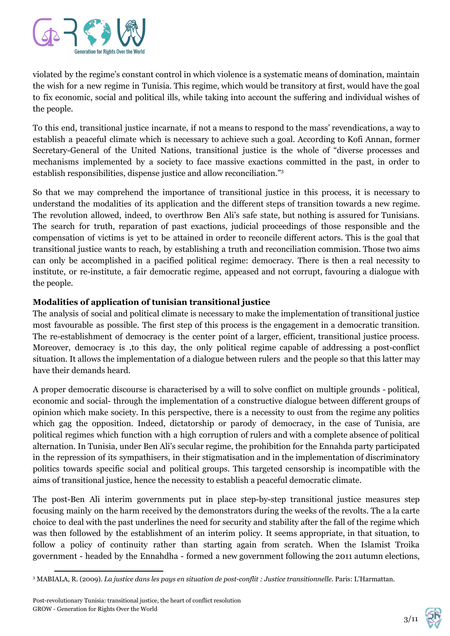

violated by the regime's constant control in which violence is a systematic means of domination, maintain the wish for a new regime in Tunisia. This regime, which would be transitory at first, would have the goal to fix economic, social and political ills, while taking into account the suffering and individual wishes of the people.

To this end, transitional justice incarnate, if not a means to respond to the mass' revendications, a way to establish a peaceful climate which is necessary to achieve such a goal. According to Kofi Annan, former Secretary-General of the United Nations, transitional justice is the whole of "diverse processes and mechanisms implemented by a society to face massive exactions committed in the past, in order to establish responsibilities, dispense justice and allow reconciliation." 3

So that we may comprehend the importance of transitional justice in this process, it is necessary to understand the modalities of its application and the different steps of transition towards a new regime. The revolution allowed, indeed, to overthrow Ben Ali's safe state, but nothing is assured for Tunisians. The search for truth, reparation of past exactions, judicial proceedings of those responsible and the compensation of victims is yet to be attained in order to reconcile different actors. This is the goal that transitional justice wants to reach, by establishing a truth and reconciliation commision. Those two aims can only be accomplished in a pacified political regime: democracy. There is then a real necessity to institute, or re-institute, a fair democratic regime, appeased and not corrupt, favouring a dialogue with the people.

#### **Modalities of application of tunisian transitional justice**

The analysis of social and political climate is necessary to make the implementation of transitional justice most favourable as possible. The first step of this process is the engagement in a democratic transition. The re-establishment of democracy is the center point of a larger, efficient, transitional justice process. Moreover, democracy is ,to this day, the only political regime capable of addressing a post-conflict situation. It allows the implementation of a dialogue between rulers and the people so that this latter may have their demands heard.

A proper democratic discourse is characterised by a will to solve conflict on multiple grounds - political, economic and social- through the implementation of a constructive dialogue between different groups of opinion which make society. In this perspective, there is a necessity to oust from the regime any politics which gag the opposition. Indeed, dictatorship or parody of democracy, in the case of Tunisia, are political regimes which function with a high corruption of rulers and with a complete absence of political alternation. In Tunisia, under Ben Ali's secular regime, the prohibition for the Ennahda party participated in the repression of its sympathisers, in their stigmatisation and in the implementation of discriminatory politics towards specific social and political groups. This targeted censorship is incompatible with the aims of transitional justice, hence the necessity to establish a peaceful democratic climate.

The post-Ben Ali interim governments put in place step-by-step transitional justice measures step focusing mainly on the harm received by the demonstrators during the weeks of the revolts. The a la carte choice to deal with the past underlines the need for security and stability after the fall of the regime which was then followed by the establishment of an interim policy. It seems appropriate, in that situation, to follow a policy of continuity rather than starting again from scratch. When the Islamist Troika government - headed by the Ennahdha - formed a new government following the 2011 autumn elections,



<sup>3</sup> MABIALA, R. (2009). *La justice dans les pays en situation de post-conflit : Justice transitionnelle*. Paris: L'Harmattan.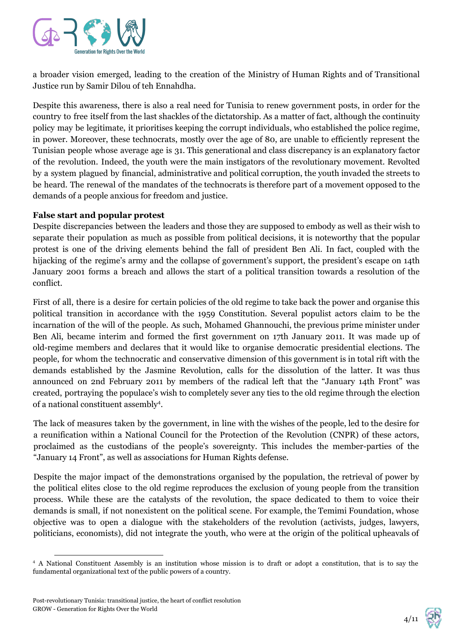

a broader vision emerged, leading to the creation of the Ministry of Human Rights and of Transitional Justice run by Samir Dilou of teh Ennahdha.

Despite this awareness, there is also a real need for Tunisia to renew government posts, in order for the country to free itself from the last shackles of the dictatorship. As a matter of fact, although the continuity policy may be legitimate, it prioritises keeping the corrupt individuals, who established the police regime, in power. Moreover, these technocrats, mostly over the age of 80, are unable to efficiently represent the Tunisian people whose average age is 31. This generational and class discrepancy is an explanatory factor of the revolution. Indeed, the youth were the main instigators of the revolutionary movement. Revolted by a system plagued by financial, administrative and political corruption, the youth invaded the streets to be heard. The renewal of the mandates of the technocrats is therefore part of a movement opposed to the demands of a people anxious for freedom and justice.

#### **False start and popular protest**

Despite discrepancies between the leaders and those they are supposed to embody as well as their wish to separate their population as much as possible from political decisions, it is noteworthy that the popular protest is one of the driving elements behind the fall of president Ben Ali. In fact, coupled with the hijacking of the regime's army and the collapse of government's support, the president's escape on 14th January 2001 forms a breach and allows the start of a political transition towards a resolution of the conflict.

First of all, there is a desire for certain policies of the old regime to take back the power and organise this political transition in accordance with the 1959 Constitution. Several populist actors claim to be the incarnation of the will of the people. As such, Mohamed Ghannouchi, the previous prime minister under Ben Ali, became interim and formed the first government on 17th January 2011. It was made up of old-regime members and declares that it would like to organise democratic presidential elections. The people, for whom the technocratic and conservative dimension of this government is in total rift with the demands established by the Jasmine Revolution, calls for the dissolution of the latter. It was thus announced on 2nd February 2011 by members of the radical left that the "January 14th Front" was created, portraying the populace's wish to completely sever any ties to the old regime through the election of a national constituent assembly<sup>4</sup>.

The lack of measures taken by the government, in line with the wishes of the people, led to the desire for a reunification within a National Council for the Protection of the Revolution (CNPR) of these actors, proclaimed as the custodians of the people's sovereignty. This includes the member-parties of the "January 14 Front", as well as associations for Human Rights defense.

Despite the major impact of the demonstrations organised by the population, the retrieval of power by the political elites close to the old regime reproduces the exclusion of young people from the transition process. While these are the catalysts of the revolution, the space dedicated to them to voice their demands is small, if not nonexistent on the political scene. For example, the Temimi Foundation, whose objective was to open a dialogue with the stakeholders of the revolution (activists, judges, lawyers, politicians, economists), did not integrate the youth, who were at the origin of the political upheavals of



<sup>4</sup> A National Constituent Assembly is an institution whose mission is to draft or adopt a constitution, that is to say the fundamental organizational text of the public powers of a country.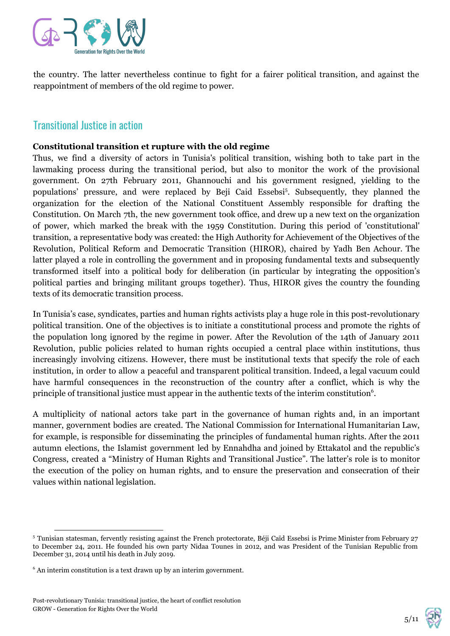

the country. The latter nevertheless continue to fight for a fairer political transition, and against the reappointment of members of the old regime to power.

## Transitional Justice in action

#### **Constitutional transition et rupture with the old regime**

Thus, we find a diversity of actors in Tunisia's political transition, wishing both to take part in the lawmaking process during the transitional period, but also to monitor the work of the provisional government. On 27th February 2011, Ghannouchi and his government resigned, yielding to the populations' pressure, and were replaced by Beji Caid Essebsi<sup>5</sup>. Subsequently, they planned the organization for the election of the National Constituent Assembly responsible for drafting the Constitution. On March 7th, the new government took office, and drew up a new text on the organization of power, which marked the break with the 1959 Constitution. During this period of 'constitutional' transition, a representative body was created: the High Authority for Achievement of the Objectives of the Revolution, Political Reform and Democratic Transition (HIROR), chaired by Yadh Ben Achour. The latter played a role in controlling the government and in proposing fundamental texts and subsequently transformed itself into a political body for deliberation (in particular by integrating the opposition's political parties and bringing militant groups together). Thus, HIROR gives the country the founding texts of its democratic transition process.

In Tunisia's case, syndicates, parties and human rights activists play a huge role in this post-revolutionary political transition. One of the objectives is to initiate a constitutional process and promote the rights of the population long ignored by the regime in power. After the Revolution of the 14th of January 2011 Revolution, public policies related to human rights occupied a central place within institutions, thus increasingly involving citizens. However, there must be institutional texts that specify the role of each institution, in order to allow a peaceful and transparent political transition. Indeed, a legal vacuum could have harmful consequences in the reconstruction of the country after a conflict, which is why the principle of transitional justice must appear in the authentic texts of the interim constitution<sup>6</sup>.

A multiplicity of national actors take part in the governance of human rights and, in an important manner, government bodies are created. The National Commission for International Humanitarian Law, for example, is responsible for disseminating the principles of fundamental human rights. After the 2011 autumn elections, the Islamist government led by Ennahdha and joined by Ettakatol and the republic's Congress, created a "Ministry of Human Rights and Transitional Justice". The latter's role is to monitor the execution of the policy on human rights, and to ensure the preservation and consecration of their values within national legislation.



<sup>5</sup> Tunisian statesman, fervently resisting against the French protectorate, Béji Caïd Essebsi is Prime Minister from February 27 to December 24, 2011. He founded his own party Nidaa Tounes in 2012, and was President of the Tunisian Republic from December 31, 2014 until his death in July 2019.

<sup>6</sup> An interim constitution is a text drawn up by an interim government.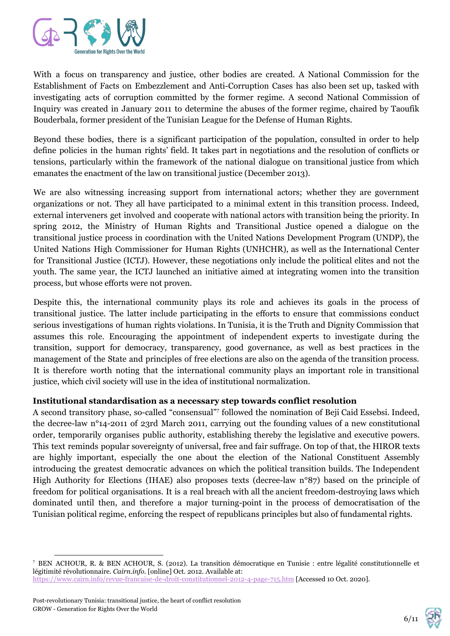

With a focus on transparency and justice, other bodies are created. A National Commission for the Establishment of Facts on Embezzlement and Anti-Corruption Cases has also been set up, tasked with investigating acts of corruption committed by the former regime. A second National Commission of Inquiry was created in January 2011 to determine the abuses of the former regime, chaired by Taoufik Bouderbala, former president of the Tunisian League for the Defense of Human Rights.

Beyond these bodies, there is a significant participation of the population, consulted in order to help define policies in the human rights' field. It takes part in negotiations and the resolution of conflicts or tensions, particularly within the framework of the national dialogue on transitional justice from which emanates the enactment of the law on transitional justice (December 2013).

We are also witnessing increasing support from international actors; whether they are government organizations or not. They all have participated to a minimal extent in this transition process. Indeed, external interveners get involved and cooperate with national actors with transition being the priority. In spring 2012, the Ministry of Human Rights and Transitional Justice opened a dialogue on the transitional justice process in coordination with the United Nations Development Program (UNDP), the United Nations High Commissioner for Human Rights (UNHCHR), as well as the International Center for Transitional Justice (ICTJ). However, these negotiations only include the political elites and not the youth. The same year, the ICTJ launched an initiative aimed at integrating women into the transition process, but whose efforts were not proven.

Despite this, the international community plays its role and achieves its goals in the process of transitional justice. The latter include participating in the efforts to ensure that commissions conduct serious investigations of human rights violations. In Tunisia, it is the Truth and Dignity Commission that assumes this role. Encouraging the appointment of independent experts to investigate during the transition, support for democracy, transparency, good governance, as well as best practices in the management of the State and principles of free elections are also on the agenda of the transition process. It is therefore worth noting that the international community plays an important role in transitional justice, which civil society will use in the idea of institutional normalization.

#### **Institutional standardisation as a necessary step towards conflict resolution**

A second transitory phase, so-called "consensual"7 followed the nomination of Beji Caid Essebsi. Indeed, the decree-law n°14-2011 of 23rd March 2011, carrying out the founding values of a new constitutional order, temporarily organises public authority, establishing thereby the legislative and executive powers. This text reminds popular sovereignty of universal, free and fair suffrage. On top of that, the HIROR texts are highly important, especially the one about the election of the National Constituent Assembly introducing the greatest democratic advances on which the political transition builds. The Independent High Authority for Elections (IHAE) also proposes texts (decree-law n°87) based on the principle of freedom for political organisations. It is a real breach with all the ancient freedom-destroying laws which dominated until then, and therefore a major turning-point in the process of democratisation of the Tunisian political regime, enforcing the respect of republicans principles but also of fundamental rights.



<sup>7</sup> BEN ACHOUR, R. & BEN ACHOUR, S. (2012). La transition démocratique en Tunisie : entre légalité constitutionnelle et légitimité révolutionnaire. *Cairn.info.* [online] Oct. 2012. Available at: <https://www.cairn.info/revue-francaise-de-droit-constitutionnel-2012-4-page-715.htm>[Accessed 10 Oct. 2020].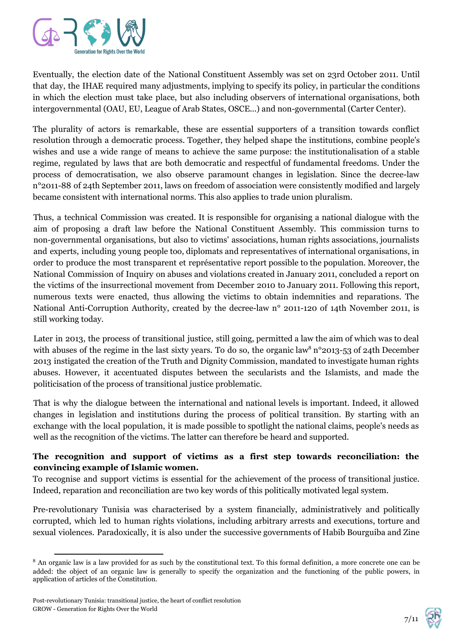

Eventually, the election date of the National Constituent Assembly was set on 23rd October 2011. Until that day, the IHAE required many adjustments, implying to specify its policy, in particular the conditions in which the election must take place, but also including observers of international organisations, both intergovernmental (OAU, EU, League of Arab States, OSCE...) and non-governmental (Carter Center).

The plurality of actors is remarkable, these are essential supporters of a transition towards conflict resolution through a democratic process. Together, they helped shape the institutions, combine people's wishes and use a wide range of means to achieve the same purpose: the institutionalisation of a stable regime, regulated by laws that are both democratic and respectful of fundamental freedoms. Under the process of democratisation, we also observe paramount changes in legislation. Since the decree-law n°2011-88 of 24th September 2011, laws on freedom of association were consistently modified and largely became consistent with international norms. This also applies to trade union pluralism.

Thus, a technical Commission was created. It is responsible for organising a national dialogue with the aim of proposing a draft law before the National Constituent Assembly. This commission turns to non-governmental organisations, but also to victims' associations, human rights associations, journalists and experts, including young people too, diplomats and representatives of international organisations, in order to produce the most transparent et représentative report possible to the population. Moreover, the National Commission of Inquiry on abuses and violations created in January 2011, concluded a report on the victims of the insurrectional movement from December 2010 to January 2011. Following this report, numerous texts were enacted, thus allowing the victims to obtain indemnities and reparations. The National Anti-Corruption Authority, created by the decree-law n° 2011-120 of 14th November 2011, is still working today.

Later in 2013, the process of transitional justice, still going, permitted a law the aim of which was to deal with abuses of the regime in the last sixty years. To do so, the organic law<sup>8</sup> n°2013-53 of 24th December 2013 instigated the creation of the Truth and Dignity Commission, mandated to investigate human rights abuses. However, it accentuated disputes between the secularists and the Islamists, and made the politicisation of the process of transitional justice problematic.

That is why the dialogue between the international and national levels is important. Indeed, it allowed changes in legislation and institutions during the process of political transition. By starting with an exchange with the local population, it is made possible to spotlight the national claims, people's needs as well as the recognition of the victims. The latter can therefore be heard and supported.

#### **The recognition and support of victims as a first step towards reconciliation: the convincing example of Islamic women.**

To recognise and support victims is essential for the achievement of the process of transitional justice. Indeed, reparation and reconciliation are two key words of this politically motivated legal system.

Pre-revolutionary Tunisia was characterised by a system financially, administratively and politically corrupted, which led to human rights violations, including arbitrary arrests and executions, torture and sexual violences. Paradoxically, it is also under the successive governments of Habib Bourguiba and Zine



<sup>&</sup>lt;sup>8</sup> An organic law is a law provided for as such by the constitutional text. To this formal definition, a more concrete one can be added: the object of an organic law is generally to specify the organization and the functioning of the public powers, in application of articles of the Constitution.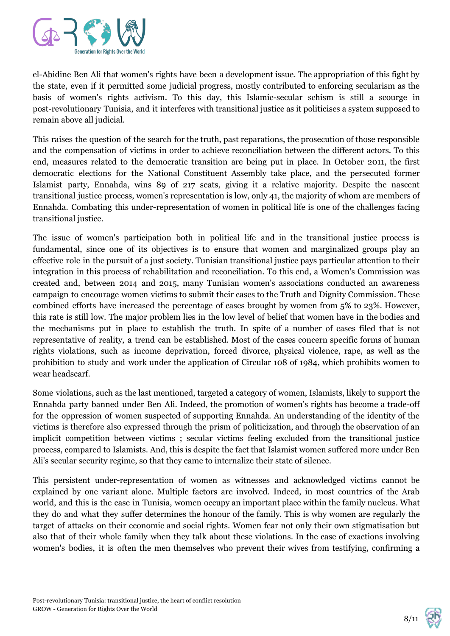

el-Abidine Ben Ali that women's rights have been a development issue. The appropriation of this fight by the state, even if it permitted some judicial progress, mostly contributed to enforcing secularism as the basis of women's rights activism. To this day, this Islamic-secular schism is still a scourge in post-revolutionary Tunisia, and it interferes with transitional justice as it politicises a system supposed to remain above all judicial.

This raises the question of the search for the truth, past reparations, the prosecution of those responsible and the compensation of victims in order to achieve reconciliation between the different actors. To this end, measures related to the democratic transition are being put in place. In October 2011, the first democratic elections for the National Constituent Assembly take place, and the persecuted former Islamist party, Ennahda, wins 89 of 217 seats, giving it a relative majority. Despite the nascent transitional justice process, women's representation is low, only 41, the majority of whom are members of Ennahda. Combating this under-representation of women in political life is one of the challenges facing transitional justice.

The issue of women's participation both in political life and in the transitional justice process is fundamental, since one of its objectives is to ensure that women and marginalized groups play an effective role in the pursuit of a just society. Tunisian transitional justice pays particular attention to their integration in this process of rehabilitation and reconciliation. To this end, a Women's Commission was created and, between 2014 and 2015, many Tunisian women's associations conducted an awareness campaign to encourage women victims to submit their cases to the Truth and Dignity Commission. These combined efforts have increased the percentage of cases brought by women from 5% to 23%. However, this rate is still low. The major problem lies in the low level of belief that women have in the bodies and the mechanisms put in place to establish the truth. In spite of a number of cases filed that is not representative of reality, a trend can be established. Most of the cases concern specific forms of human rights violations, such as income deprivation, forced divorce, physical violence, rape, as well as the prohibition to study and work under the application of Circular 108 of 1984, which prohibits women to wear headscarf.

Some violations, such as the last mentioned, targeted a category of women, Islamists, likely to support the Ennahda party banned under Ben Ali. Indeed, the promotion of women's rights has become a trade-off for the oppression of women suspected of supporting Ennahda. An understanding of the identity of the victims is therefore also expressed through the prism of politicization, and through the observation of an implicit competition between victims ; secular victims feeling excluded from the transitional justice process, compared to Islamists. And, this is despite the fact that Islamist women suffered more under Ben Ali's secular security regime, so that they came to internalize their state of silence.

This persistent under-representation of women as witnesses and acknowledged victims cannot be explained by one variant alone. Multiple factors are involved. Indeed, in most countries of the Arab world, and this is the case in Tunisia, women occupy an important place within the family nucleus. What they do and what they suffer determines the honour of the family. This is why women are regularly the target of attacks on their economic and social rights. Women fear not only their own stigmatisation but also that of their whole family when they talk about these violations. In the case of exactions involving women's bodies, it is often the men themselves who prevent their wives from testifying, confirming a

$$
8/11 \quad \ \ \, \bigotimes
$$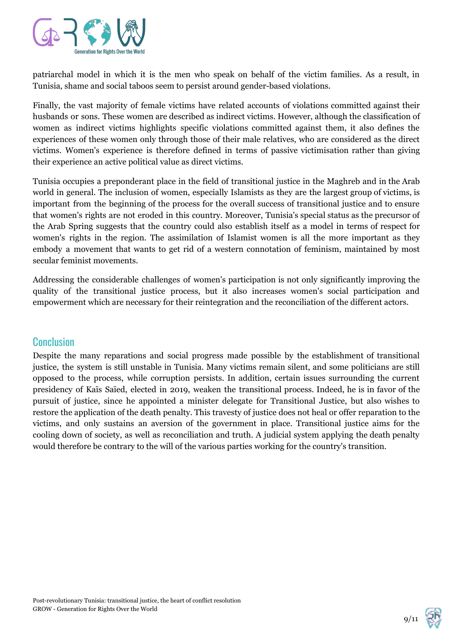

patriarchal model in which it is the men who speak on behalf of the victim families. As a result, in Tunisia, shame and social taboos seem to persist around gender-based violations.

Finally, the vast majority of female victims have related accounts of violations committed against their husbands or sons. These women are described as indirect victims. However, although the classification of women as indirect victims highlights specific violations committed against them, it also defines the experiences of these women only through those of their male relatives, who are considered as the direct victims. Women's experience is therefore defined in terms of passive victimisation rather than giving their experience an active political value as direct victims.

Tunisia occupies a preponderant place in the field of transitional justice in the Maghreb and in the Arab world in general. The inclusion of women, especially Islamists as they are the largest group of victims, is important from the beginning of the process for the overall success of transitional justice and to ensure that women's rights are not eroded in this country. Moreover, Tunisia's special status as the precursor of the Arab Spring suggests that the country could also establish itself as a model in terms of respect for women's rights in the region. The assimilation of Islamist women is all the more important as they embody a movement that wants to get rid of a western connotation of feminism, maintained by most secular feminist movements.

Addressing the considerable challenges of women's participation is not only significantly improving the quality of the transitional justice process, but it also increases women's social participation and empowerment which are necessary for their reintegration and the reconciliation of the different actors.

### **Conclusion**

Despite the many reparations and social progress made possible by the establishment of transitional justice, the system is still unstable in Tunisia. Many victims remain silent, and some politicians are still opposed to the process, while corruption persists. In addition, certain issues surrounding the current presidency of Kaïs Saïed, elected in 2019, weaken the transitional process. Indeed, he is in favor of the pursuit of justice, since he appointed a minister delegate for Transitional Justice, but also wishes to restore the application of the death penalty. This travesty of justice does not heal or offer reparation to the victims, and only sustains an aversion of the government in place. Transitional justice aims for the cooling down of society, as well as reconciliation and truth. A judicial system applying the death penalty would therefore be contrary to the will of the various parties working for the country's transition.

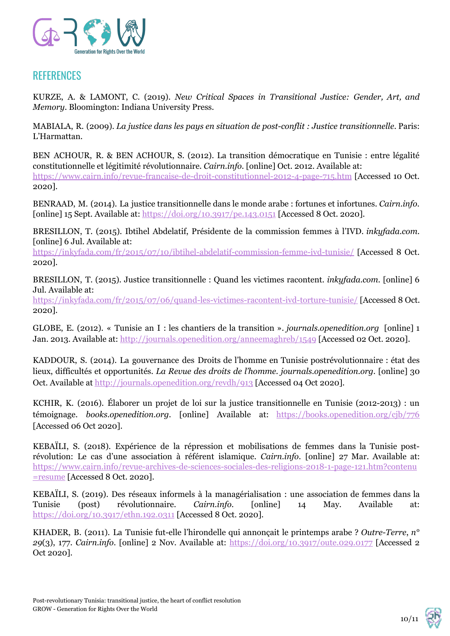

## **REFERENCES**

KURZE, A. & LAMONT, C. (2019). *New Critical Spaces in Transitional Justice: Gender, Art, and Memory*. Bloomington: Indiana University Press.

MABIALA, R. (2009). *La justice dans les pays en situation de post-conflit : Justice transitionnelle*. Paris: L'Harmattan.

BEN ACHOUR, R. & BEN ACHOUR, S. (2012). La transition démocratique en Tunisie : entre légalité constitutionnelle et légitimité révolutionnaire. *Cairn.info.* [online] Oct. 2012. Available at: <https://www.cairn.info/revue-francaise-de-droit-constitutionnel-2012-4-page-715.htm> [Accessed 10 Oct. 2020].

BENRAAD, M. (2014). La justice transitionnelle dans le monde arabe : fortunes et infortunes. *Cairn.info.* [online] 15 Sept. Available at: <https://doi.org/10.3917/pe.143.0151> [Accessed 8 Oct. 2020].

BRESILLON, T. (2015). Ibtihel Abdelatif, Présidente de la commission femmes à l'IVD. *inkyfada.com.* [online] 6 Jul. Available at:

<https://inkyfada.com/fr/2015/07/10/ibtihel-abdelatif-commission-femme-ivd-tunisie/> [Accessed 8 Oct. 2020].

BRESILLON, T. (2015). Justice transitionnelle : Quand les victimes racontent. *inkyfada.com.* [online] 6 Jul. Available at:

<https://inkyfada.com/fr/2015/07/06/quand-les-victimes-racontent-ivd-torture-tunisie/> [Accessed 8 Oct. 2020].

GLOBE, E. (2012). « Tunisie an I : les chantiers de la transition ». *journals.openedition.org* [online] 1 Jan. 2013. Available at: <http://journals.openedition.org/anneemaghreb/1549> [Accessed 02 Oct. 2020].

KADDOUR, S. (2014). La gouvernance des Droits de l'homme en Tunisie postrévolutionnaire : état des lieux, difficultés et opportunités. *La Revue des droits de l'homme. journals.openedition.org.* [online] 30 Oct. Available at <http://journals.openedition.org/revdh/913> [Accessed 04 Oct 2020].

KCHIR, K. (2016). Élaborer un projet de loi sur la justice transitionnelle en Tunisie (2012-2013) : un témoignage. *books.openedition.org.* [online] Available at: <https://books.openedition.org/cjb/776> [Accessed 06 Oct 2020].

KEBAÏLI, S. (2018). Expérience de la répression et mobilisations de femmes dans la Tunisie postrévolution: Le cas d'une association à référent islamique. *Cairn.info.* [online] 27 Mar. Available at: [https://www.cairn.info/revue-archives-de-sciences-sociales-des-religions-2018-1-page-121.htm?contenu](https://www.cairn.info/revue-archives-de-sciences-sociales-des-religions-2018-1-page-121.htm?contenu=resume) [=resume](https://www.cairn.info/revue-archives-de-sciences-sociales-des-religions-2018-1-page-121.htm?contenu=resume) [Accessed 8 Oct. 2020].

KEBAÏLI, S. (2019). Des réseaux informels à la managérialisation : une association de femmes dans la Tunisie (post) révolutionnaire. *Cairn.info.* [online] 14 May. Available at: <https://doi.org/10.3917/ethn.192.0311> [Accessed 8 Oct. 2020].

KHADER, B. (2011). La Tunisie fut-elle l'hirondelle qui annonçait le printemps arabe ? *Outre-Terre*, *n° 29*(3), 177. *Cairn.info*. [online] 2 Nov. Available at: <https://doi.org/10.3917/oute.029.0177> [Accessed 2 Oct 2020].